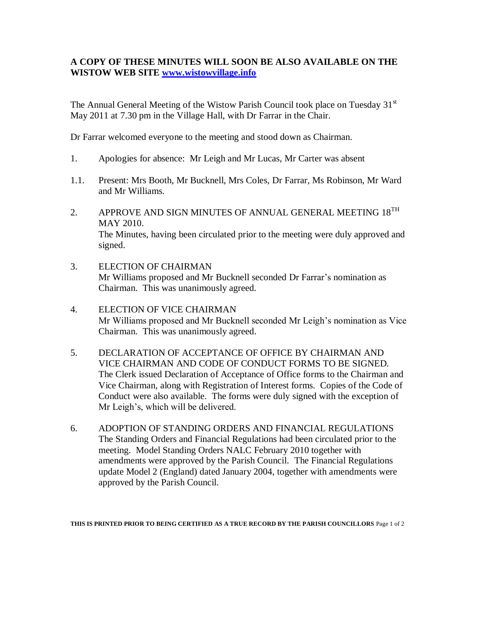## **A COPY OF THESE MINUTES WILL SOON BE ALSO AVAILABLE ON THE WISTOW WEB SITE [www.wistowvillage.info](http://www.wistowvillage.info/)**

The Annual General Meeting of the Wistow Parish Council took place on Tuesday  $31<sup>st</sup>$ May 2011 at 7.30 pm in the Village Hall, with Dr Farrar in the Chair.

Dr Farrar welcomed everyone to the meeting and stood down as Chairman.

- 1. Apologies for absence: Mr Leigh and Mr Lucas, Mr Carter was absent
- 1.1. Present: Mrs Booth, Mr Bucknell, Mrs Coles, Dr Farrar, Ms Robinson, Mr Ward and Mr Williams.
- 2. APPROVE AND SIGN MINUTES OF ANNUAL GENERAL MEETING  $18^{TH}$ MAY 2010. The Minutes, having been circulated prior to the meeting were duly approved and signed.
- 3. ELECTION OF CHAIRMAN Mr Williams proposed and Mr Bucknell seconded Dr Farrar's nomination as Chairman. This was unanimously agreed.
- 4. ELECTION OF VICE CHAIRMAN Mr Williams proposed and Mr Bucknell seconded Mr Leigh's nomination as Vice Chairman. This was unanimously agreed.
- 5. DECLARATION OF ACCEPTANCE OF OFFICE BY CHAIRMAN AND VICE CHAIRMAN AND CODE OF CONDUCT FORMS TO BE SIGNED. The Clerk issued Declaration of Acceptance of Office forms to the Chairman and Vice Chairman, along with Registration of Interest forms. Copies of the Code of Conduct were also available. The forms were duly signed with the exception of Mr Leigh's, which will be delivered.
- 6. ADOPTION OF STANDING ORDERS AND FINANCIAL REGULATIONS The Standing Orders and Financial Regulations had been circulated prior to the meeting. Model Standing Orders NALC February 2010 together with amendments were approved by the Parish Council. The Financial Regulations update Model 2 (England) dated January 2004, together with amendments were approved by the Parish Council.

**THIS IS PRINTED PRIOR TO BEING CERTIFIED AS A TRUE RECORD BY THE PARISH COUNCILLORS** Page 1 of 2